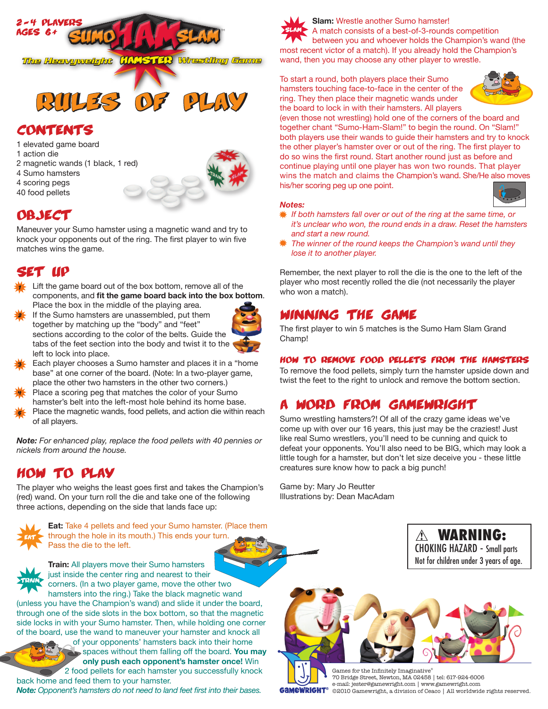

# contents

- 1 elevated game board
- 1 action die
- 2 magnetic wands (1 black, 1 red)
- 4 Sumo hamsters
- 4 scoring pegs
- 40 food pellets



# **OBJECT**

Maneuver your Sumo hamster using a magnetic wand and try to knock your opponents out of the ring. The first player to win five matches wins the game.

# set up

- Lift the game board out of the box bottom, remove all of the components, and **fit the game board back into the box bottom**. Place the box in the middle of the playing area. 1
- If the Sumo hamsters are unassembled, put them together by matching up the "body" and "feet" sections according to the color of the belts. Guide the tabs of the feet section into the body and twist it to the left to lock into place. 2



- Each player chooses a Sumo hamster and places it in a "home base" at one corner of the board. (Note: In a two-player game, place the other two hamsters in the other two corners.) 3
- Place a scoring peg that matches the color of your Sumo hamster's belt into the left-most hole behind its home base. 4
- Place the magnetic wands, food pellets, and action die within reach of all players. 5

*Note: For enhanced play, replace the food pellets with 40 pennies or nickels from around the house.*

# how to play

The player who weighs the least goes first and takes the Champion's (red) wand. On your turn roll the die and take one of the following three actions, depending on the side that lands face up:



**Eat:** Take 4 pellets and feed your Sumo hamster. (Place them through the hole in its mouth.) This ends your turn. Pass the die to the left.



**Train:** All players move their Sumo hamsters just inside the center ring and nearest to their corners. (In a two player game, move the other two hamsters into the ring.) Take the black magnetic wand

(unless you have the Champion's wand) and slide it under the board, through one of the side slots in the box bottom, so that the magnetic side locks in with your Sumo hamster. Then, while holding one corner of the board, use the wand to maneuver your hamster and knock all

> of your opponents' hamsters back into their home spaces without them falling off the board. **You may only push each opponent's hamster once!** Win 2 food pellets for each hamster you successfully knock

back home and feed them to your hamster. *Note: Opponent's hamsters do not need to land feet first into their bases.*



**Slam:** Wrestle another Sumo hamster! A match consists of a best-of-3-rounds competition between you and whoever holds the Champion's wand (the most recent victor of a match). If you already hold the Champion's wand, then you may choose any other player to wrestle.

To start a round, both players place their Sumo hamsters touching face-to-face in the center of the ring. They then place their magnetic wands under the board to lock in with their hamsters. All players



(even those not wrestling) hold one of the corners of the board and together chant "Sumo-Ham-Slam!" to begin the round. On "Slam!" both players use their wands to guide their hamsters and try to knock the other player's hamster over or out of the ring. The first player to do so wins the first round. Start another round just as before and continue playing until one player has won two rounds. That player wins the match and claims the Champion's wand. She/He also moves his/her scoring peg up one point.

## *Notes:*

- *If both hamsters fall over or out of the ring at the same time, or it's unclear who won, the round ends in a draw. Reset the hamsters and start a new round.*
- *The winner of the round keeps the Champion's wand until they lose it to another player.*

Remember, the next player to roll the die is the one to the left of the player who most recently rolled the die (not necessarily the player who won a match).

# winning the game

The first player to win 5 matches is the Sumo Ham Slam Grand Champ!

## how to remove food pellets from the hamsters

To remove the food pellets, simply turn the hamster upside down and twist the feet to the right to unlock and remove the bottom section.

# a word from gamewright

Sumo wrestling hamsters?! Of all of the crazy game ideas we've come up with over our 16 years, this just may be the craziest! Just like real Sumo wrestlers, you'll need to be cunning and quick to defeat your opponents. You'll also need to be BIG, which may look a little tough for a hamster, but don't let size deceive you - these little creatures sure know how to pack a big punch!

Game by: Mary Jo Reutter Illustrations by: Dean MacAdam

> WARNING: CHOKING HAZARD - Small parts Not for children under 3 years of age.